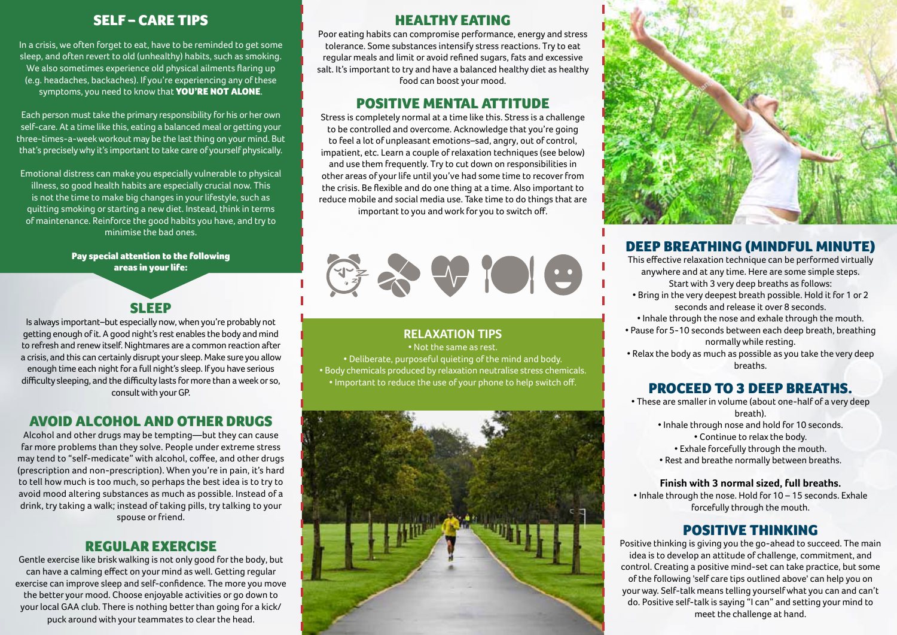# Self – Care Tips

In a crisis, we often forget to eat, have to be reminded to get some sleep, and often revert to old (unhealthy) habits, such as smoking. We also sometimes experience old physical ailments flaring up (e.g. headaches, backaches). If you're experiencing any of these symptoms, you need to know that **YOU'RE NOT ALONE**.

Each person must take the primary responsibility for his or her own self-care. At a time like this, eating a balanced meal or getting your three-times-a-week workout may be the last thing on your mind. But that's precisely why it's important to take care of yourself physically.

Emotional distress can make you especially vulnerable to physical illness, so good health habits are especially crucial now. This is not the time to make big changes in your lifestyle, such as quitting smoking or starting a new diet. Instead, think in terms of maintenance. Reinforce the good habits you have, and try to minimise the bad ones.

> Pay special attention to the following areas in your life:



Is always important–but especially now, when you're probably not getting enough of it. A good night's rest enables the body and mind to refresh and renew itself. Nightmares are a common reaction after a crisis, and this can certainly disrupt your sleep. Make sure you allow enough time each night for a full night's sleep. If you have serious difficulty sleeping, and the difficulty lasts for more than a week or so, consult with your GP.

# Avoid Alcohol and other drugs

Alcohol and other drugs may be tempting—but they can cause far more problems than they solve. People under extreme stress may tend to "self-medicate" with alcohol, coffee, and other drugs (prescription and non-prescription). When you're in pain, it's hard to tell how much is too much, so perhaps the best idea is to try to avoid mood altering substances as much as possible. Instead of a drink, try taking a walk; instead of taking pills, try talking to your spouse or friend.

# Regular exercise

Gentle exercise like brisk walking is not only good for the body, but can have a calming effect on your mind as well. Getting regular exercise can improve sleep and self-confidence. The more you move the better your mood. Choose enjoyable activities or go down to your local GAA club. There is nothing better than going for a kick/ puck around with your teammates to clear the head.

# Healthy Eating

Poor eating habits can compromise performance, energy and stress tolerance. Some substances intensify stress reactions. Try to eat regular meals and limit or avoid refined sugars, fats and excessive salt. It's important to try and have a balanced healthy diet as healthy food can boost your mood.

# Positive Mental attitude

Stress is completely normal at a time like this. Stress is a challenge to be controlled and overcome. Acknowledge that you're going to feel a lot of unpleasant emotions–sad, angry, out of control, impatient, etc. Learn a couple of relaxation techniques (see below) and use them frequently. Try to cut down on responsibilities in other areas of your life until you've had some time to recover from the crisis. Be flexible and do one thing at a time. Also important to reduce mobile and social media use. Take time to do things that are important to you and work for you to switch off.



**Relaxation Tips**  • Not the same as rest. • Deliberate, purposeful quieting of the mind and body. • Body chemicals produced by relaxation neutralise stress chemicals. • Important to reduce the use of your phone to help switch off.





# Deep breathing (mindful minute)

This effective relaxation technique can be performed virtually anywhere and at any time. Here are some simple steps. Start with 3 very deep breaths as follows: • Bring in the very deepest breath possible. Hold it for 1 or 2 seconds and release it over 8 seconds. • Inhale through the nose and exhale through the mouth. • Pause for 5-10 seconds between each deep breath, breathing normally while resting. • Relax the body as much as possible as you take the very deep breaths.

# Proceed to 3 deep breaths.

• These are smaller in volume (about one-half of a very deep breath).

- Inhale through nose and hold for 10 seconds. • Continue to relax the body.
	- Exhale forcefully through the mouth.
- Rest and breathe normally between breaths.

### **Finish with 3 normal sized, full breaths.**

• Inhale through the nose. Hold for 10 – 15 seconds. Exhale forcefully through the mouth.

# Positive Thinking

Positive thinking is giving you the go-ahead to succeed. The main idea is to develop an attitude of challenge, commitment, and control. Creating a positive mind-set can take practice, but some of the following 'self care tips outlined above' can help you on your way. Self-talk means telling yourself what you can and can't do. Positive self-talk is saying "I can" and setting your mind to meet the challenge at hand.